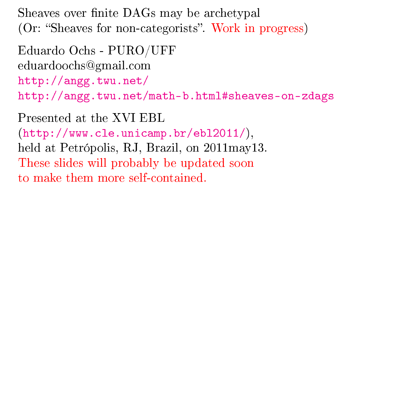Sheaves over finite DAGs may be archetypal (Or: "Sheaves for non-categorists". Work in progress)

Eduardo Ochs - PURO/UFF eduardoochs@gmail.com <http://angg.twu.net/> <http://angg.twu.net/math-b.html#sheaves-on-zdags>

Presented at the XVI EBL [\(http://www.cle.unicamp.br/ebl2011/\)](http://www.cle.unicamp.br/ebl2011/), held at Petrópolis, RJ, Brazil, on 2011may13. These slides will probably be updated soon to make them more self-contained.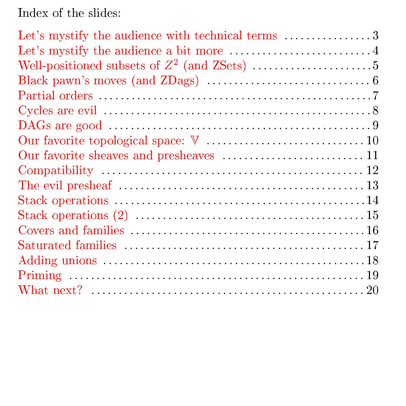Index of the slides:

<span id="page-1-17"></span><span id="page-1-16"></span><span id="page-1-15"></span><span id="page-1-14"></span><span id="page-1-13"></span><span id="page-1-12"></span><span id="page-1-11"></span><span id="page-1-10"></span><span id="page-1-9"></span><span id="page-1-8"></span><span id="page-1-7"></span><span id="page-1-6"></span><span id="page-1-5"></span><span id="page-1-4"></span><span id="page-1-3"></span><span id="page-1-2"></span><span id="page-1-1"></span><span id="page-1-0"></span>

| Our favorite sheaves and presheaves  11 |
|-----------------------------------------|
|                                         |
|                                         |
|                                         |
|                                         |
|                                         |
|                                         |
|                                         |
|                                         |
|                                         |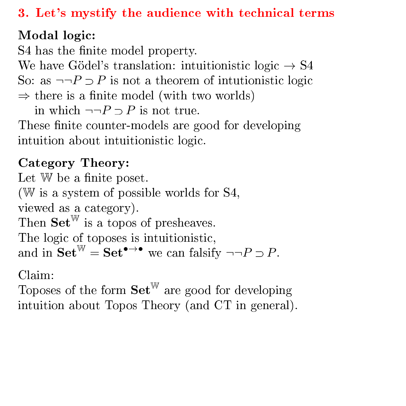<span id="page-2-0"></span>[3. Let's mystify the audience with technical terms](#page-1-0)

# Modal logic:

S4 has the finite model property.

We have Gödel's translation: intuitionistic logic  $\rightarrow$  S4 So: as  $\neg \neg P \supset P$  is not a theorem of intutionistic logic  $\Rightarrow$  there is a finite model (with two worlds)

in which  $\neg\neg P \supset P$  is not true.

These finite counter-models are good for developing intuition about intuitionistic logic.

# Category Theory:

Let  $W$  be a finite poset. (W is a system of possible worlds for S4, viewed as a category). Then  $\mathbf{Set}^{\mathbb{W}}$  is a topos of presheaves. The logic of toposes is intuitionistic, and in  $\textbf{Set}^{\mathbb{W}} = \textbf{Set}^{\bullet \to \bullet}$  we can falsify  $\neg \neg P \supset P$ .

Claim:

Toposes of the form  $\mathbf{Set}^{\mathbb{W}}$  are good for developing intuition about Topos Theory (and CT in general).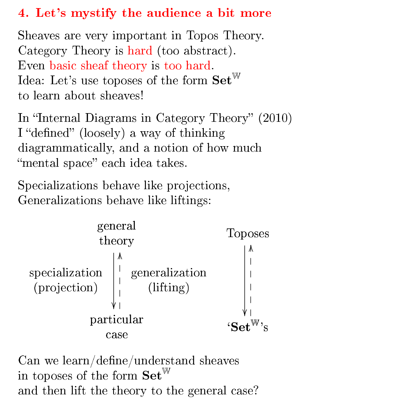# <span id="page-3-0"></span>[4. Let's mystify the audience a bit more](#page-1-1)

Sheaves are very important in Topos Theory. Category Theory is hard (too abstract). Even basic sheaf theory is too hard. Idea: Let's use toposes of the form  $\mathbf{Set}^{\mathbb{W}}$ to learn about sheaves!

In "Internal Diagrams in Category Theory" (2010) I "defined" (loosely) a way of thinking diagrammatically, and a notion of how much "mental space" each idea takes.

Specializations behave like projections, Generalizations behave like liftings:



Can we learn/define/understand sheaves in toposes of the form  $\mathbf{Set}^{\mathbb{W}}$ and then lift the theory to the general case?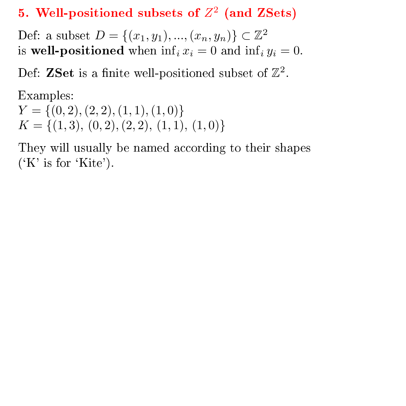# <span id="page-4-0"></span>[5. Well-positioned subsets of](#page-1-2)  $Z^2$  (and ZSets)

Def: a subset  $D = \{(x_1, y_1), ..., (x_n, y_n)\} \subset \mathbb{Z}^2$ is well-positioned when  $\inf_i x_i = 0$  and  $\inf_i y_i = 0$ .

Def: ZSet is a finite well-positioned subset of  $\mathbb{Z}^2$ .

Examples:  $Y = \{(0, 2), (2, 2), (1, 1), (1, 0)\}\$  $K = \{(1,3), (0,2), (2, 2), (1, 1), (1, 0)\}\$ 

They will usually be named according to their shapes  $(X'$  is for  $'$ Kite').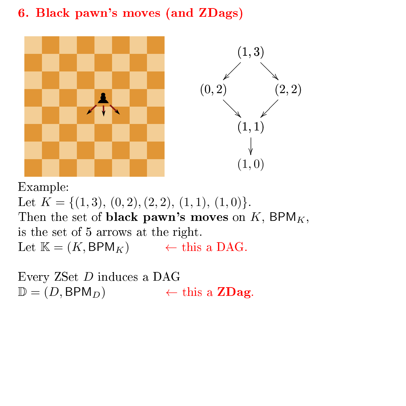## <span id="page-5-0"></span>[6. Black pawn's moves \(and ZDags\)](#page-1-3)



Example:

Let  $K = \{(1,3), (0,2), (2, 2), (1, 1), (1, 0)\}.$ Then the set of **black pawn's moves** on  $K$ , BPM<sub>K</sub>, is the set of 5 arrows at the right. Let  $\mathbb{K} = (K, \text{BPM}_K) \leftarrow \text{this a DAG}.$ 

Every ZSet D induces a DAG  $\mathbb{D} = (D, \text{BPM}_D) \leftarrow \text{this a ZDag}.$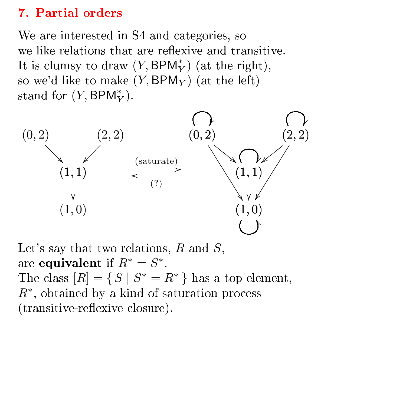### <span id="page-6-0"></span>[7. Partial orders](#page-1-4)

We are interested in S4 and categories, so we like relations that are reflexive and transitive. It is clumsy to draw  $(Y, \text{BPM}^*_Y)$  (at the right), so we'd like to make  $(Y, \text{BPM}_Y)$  (at the left) stand for  $(Y, \text{BPM}_Y^*)$ .



Let's say that two relations,  $R$  and  $S$ , are equivalent if  $R^* = S^*$ . The class  $[R] = \{ S \mid S^* = R^* \}$  has a top element,  $R^*$ , obtained by a kind of saturation process (transitive-reflexive closure).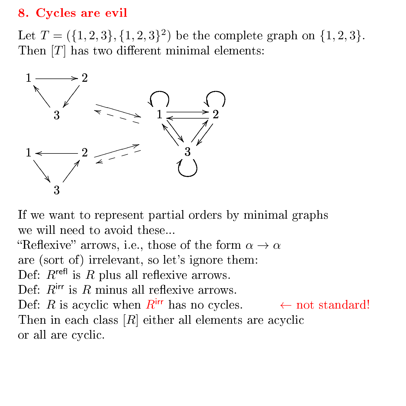### <span id="page-7-0"></span>[8. Cycles are evil](#page-1-5)

Let  $T = (\{1, 2, 3\}, \{1, 2, 3\}^2)$  be the complete graph on  $\{1, 2, 3\}$ . Then  $[T]$  has two different minimal elements:



If we want to represent partial orders by minimal graphs we will need to avoid these...

"Reflexive" arrows, i.e., those of the form  $\alpha \to \alpha$ 

are (sort of) irrelevant, so let's ignore them:

Def:  $R^{\text{refl}}$  is R plus all reflexive arrows.

Def:  $R<sup>irr</sup>$  is  $R$  minus all reflexive arrows.

Def: R is acyclic when  $R^{irr}$  has no cycles.  $\leftarrow$  not standard! Then in each class  $[R]$  either all elements are acyclic or all are cyclic.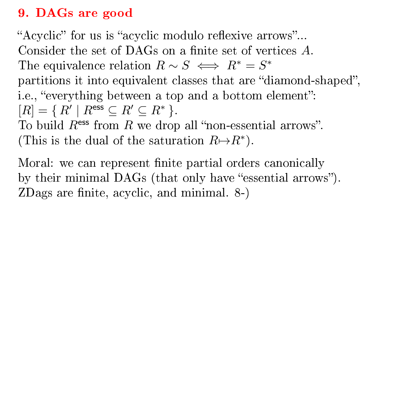### <span id="page-8-0"></span>[9. DAGs are good](#page-1-6)

"Acyclic" for us is "acyclic modulo reflexive arrows"... Consider the set of DAGs on a finite set of vertices  $A$ . The equivalence relation  $R \sim S \iff R^* = S^*$ partitions it into equivalent classes that are "diamond-shaped", i.e., "everything between a top and a bottom element":  $[R] = \{ R' \mid R^{\text{ess}} \subseteq R' \subseteq R^* \}.$ To build  $R<sup>ess</sup>$  from R we drop all "non-essential arrows". (This is the dual of the saturation  $R \mapsto R^*$ ).

Moral: we can represent finite partial orders canonically by their minimal DAGs (that only have "essential arrows"). ZDags are finite, acyclic, and minimal.  $8-$ )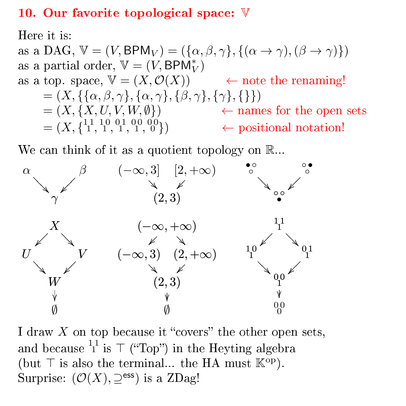#### <span id="page-9-0"></span>[10. Our favorite topological space:](#page-1-7)  $V$

Here it is:

as a DAG,  $\mathbb{V} = (V, \text{BPM}_V) = (\{\alpha, \beta, \gamma\}, \{(\alpha \to \gamma), (\beta \to \gamma)\})$ as a partial order,  $\mathbb{V} = (V, \textsf{BPM}_V^*)$ as a top. space,  $\mathbb{V} = (X, \mathcal{O}(X)) \longrightarrow$  note the renaming! =  $(X, \{\{\alpha, \beta, \gamma\}, \{\alpha, \gamma\}, \{\beta, \gamma\}, \{\gamma\}, \{\}\})$  $=(X, \{X, U, V, W, \emptyset\})$   $\leftarrow$  names for the open sets  $=(X, \{1, 1, 10, 01, 00, 00\})$   $\leftarrow$  positional notation!

We can think of it as a quotient topology on  $\mathbb{R}$ ...



I draw  $X$  on top because it "covers" the other open sets, and because  $^{11}_1$  is  $\top$  ("Top") in the Heyting algebra (but  $\top$  is also the terminal... the HA must  $\mathbb{K}^{\text{op}}$ ). Surprise:  $(\mathcal{O}(X), \supseteq^{ess})$  is a ZDag!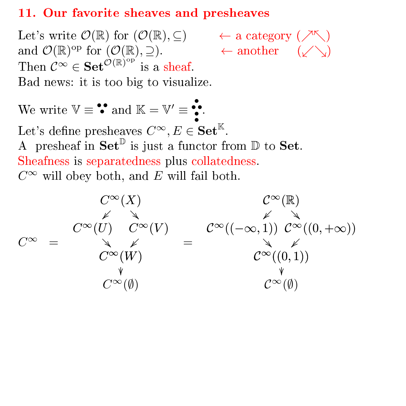#### <span id="page-10-0"></span>[11. Our favorite sheaves and presheaves](#page-1-8)

Let's write  $\mathcal{O}(\mathbb{R})$  for  $(\mathcal{O}(\mathbb{R}), \subseteq) \qquad \leftarrow$  a category  $(\nearrow \nwarrow)$ and  $\mathcal{O}(\mathbb{R})^{\text{op}}$  for  $(\mathcal{O}(\mathbb{R}), \supseteq)$ . ← another  $(\swarrow \searrow)$ Then  $\mathcal{C}^{\infty} \in \mathbf{Set}^{\mathcal{O}(\mathbb{R})^{\mathrm{op}}}$  is a sheaf. Bad news: it is too big to visualize.

We write  $\mathbb{V} \equiv \mathbf{S} \text{ and } \mathbb{K} = \mathbb{V}' \equiv \mathbf{S} \text{.}$ Let's define presheaves  $C^{\infty}, E \in \mathbf{Set}^{\mathbb{K}}.$ A presheaf in  $\mathbf{Set}^{\mathbb{D}}$  is just a functor from  $\mathbb{D}$  to  $\mathbf{Set}$ . Sheafness is separatedness plus collatedness.  $C^{\infty}$  will obey both, and E will fail both.

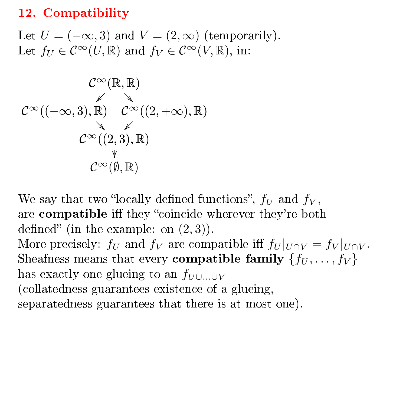#### <span id="page-11-0"></span>[12. Compatibility](#page-1-9)

Let  $U = (-\infty, 3)$  and  $V = (2, \infty)$  (temporarily). Let  $f_U \in C^{\infty}(U,\mathbb{R})$  and  $f_V \in C^{\infty}(V,\mathbb{R})$ , in:

$$
\mathcal{C}^{\infty}(\mathbb{R},\mathbb{R})\\ \swarrow \searrow\\ \mathcal{C}^{\infty}((-\infty,3),\mathbb{R}) \qquad \mathcal{C}^{\infty}((2,+\infty),\mathbb{R})\\ \swarrow \\ \mathcal{C}^{\infty}((2,3),\mathbb{R})\\ \qquad \qquad \downarrow \\ \mathcal{C}^{\infty}(\emptyset,\mathbb{R})
$$

We say that two "locally defined functions",  $f_U$  and  $f_V$ , are compatible iff they "coincide wherever they're both defined" (in the example: on  $(2, 3)$ ). More precisely:  $f_U$  and  $f_V$  are compatible iff  $f_U|_{U\cap V} = f_V|_{U\cap V}$ .

Sheafness means that every **compatible family**  $\{f_U, \ldots, f_V\}$ has exactly one glueing to an  $f_{U\cup\ldots\cup V}$ (collatedness guarantees existence of a glueing,

separatedness guarantees that there is at most one).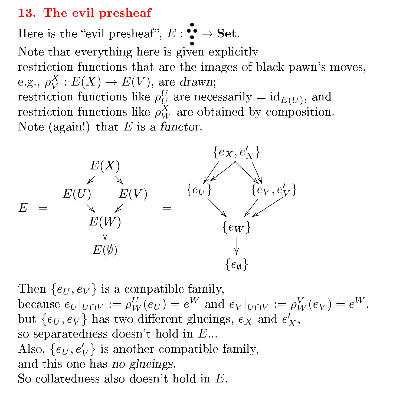#### <span id="page-12-0"></span>[13. The evil presheaf](#page-1-10)

Here is the "evil presheaf",  $E: \mathop{\bullet}\limits^{\bullet} \to \mathbf{Set}.$ Note that everything here is given explicitly restriction functions that are the images of black pawn's moves, e.g.,  $\rho_V^X : E(X) \to E(V)$ , are drawn; restriction functions like  $\rho^U_{U}$  are necessarily  $= id_{E(U)}$ , and restriction functions like  $\rho_W^X$  are obtained by composition. Note (again!) that  $E$  is a functor.



Then  $\{e_U, e_V\}$  is a compatible family, because  $e_U|_{U\cap V} := \rho^U_W(e_U) = e^W$  and  $e_V|_{U\cap V} := \rho^V_W(e_V) = e^W$ , but  $\{e_U,e_V\}$  has two different glueings,  $e_X$  and  $e'_X$ , so separatedness doesn't hold in  $E...$ Also,  $\{e_U, e'_V\}$  is another compatible family, and this one has no glueings. So collatedness also doesn't hold in E.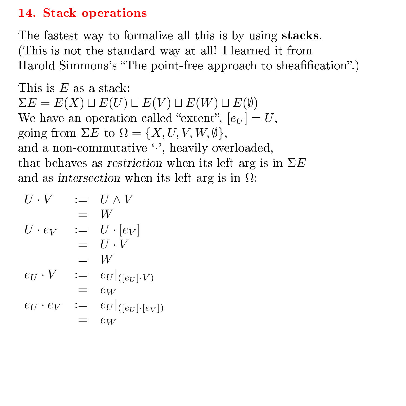### <span id="page-13-0"></span>[14. Stack operations](#page-1-11)

The fastest way to formalize all this is by using stacks. (This is not the standard way at all! I learned it from Harold Simmons's "The point-free approach to sheafification".)

This is  $E$  as a stack:  $\Sigma E = E(X) \sqcup E(U) \sqcup E(V) \sqcup E(W) \sqcup E(\emptyset)$ We have an operation called "extent",  $[e_U] = U$ , going from  $\Sigma E$  to  $\Omega = \{X, U, V, W, \emptyset\},\$ and a non-commutative  $\cdot$ , heavily overloaded, that behaves as restriction when its left arg is in  $\Sigma E$ and as intersection when its left arg is in  $\Omega$ :

$$
U \cdot V = U \wedge V
$$
  
\n
$$
= W
$$
  
\n
$$
U \cdot e_V = U \cdot [e_V]
$$
  
\n
$$
= U \cdot V
$$
  
\n
$$
= W
$$
  
\n
$$
e_U \cdot V = e_U|_{([e_U] \cdot V)}
$$
  
\n
$$
= e_W
$$
  
\n
$$
e_U \cdot e_V = e_U|_{([e_U] \cdot [e_V])}
$$
  
\n
$$
= e_W
$$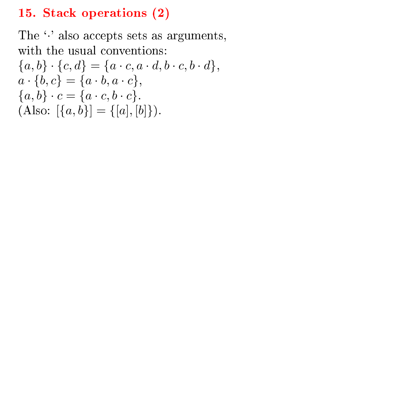### <span id="page-14-0"></span>[15. Stack operations \(2\)](#page-1-12)

The  $\cdot$ ' also accepts sets as arguments, with the usual conventions:  ${a,b} \cdot {c,d} = {a \cdot c, a \cdot d, b \cdot c, b \cdot d},$  $a \cdot \{b, c\} = \{a \cdot b, a \cdot c\},\$  ${a,b} \cdot c = {a \cdot c, b \cdot c}.$ (Also:  $[\{a, b\}] = \{[a], [b]\}.$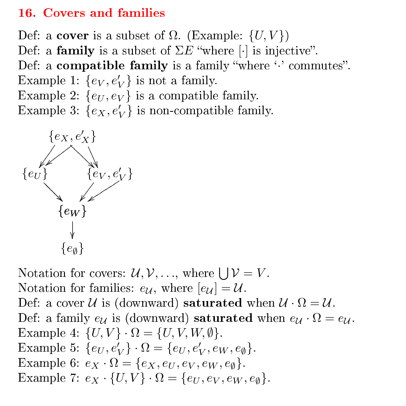#### <span id="page-15-0"></span>[16. Covers and families](#page-1-13)

Def: a cover is a subset of  $\Omega$ . (Example:  $\{U, V\}$ ) Def: a family is a subset of  $\Sigma E$  "where [·] is injective". Def: a **compatible family** is a family "where  $\cdot$  commutes". Example 1:  $\{e_V, e'_V\}$  is not a family. Example 2:  $\{e_U, e_V\}$  is a compatible family. Example 3:  $\{e_X, e'_V\}$  is non-compatible family.



Notation for covers:  $\mathcal{U}, \mathcal{V}, \ldots$ , where  $\bigcup \mathcal{V} = V$ . Notation for families:  $e_{\mathcal{U}}$ , where  $[e_{\mathcal{U}}] = \mathcal{U}$ . Def: a cover U is (downward) saturated when  $\mathcal{U} \cdot \Omega = \mathcal{U}$ . Def: a family  $e_{\mathcal{U}}$  is (downward) saturated when  $e_{\mathcal{U}} \cdot \Omega = e_{\mathcal{U}}$ . Example 4:  $\{U, V\} \cdot \Omega = \{U, V, W, \emptyset\}.$ Example 5:  $\{e_{U}, e_{V}'\} \cdot \Omega = \{e_{U}, e_{V}', e_{W}, e_{\emptyset}\}.$ Example 6:  $e_X \cdot \Omega = \{e_X, e_U, e_V, e_W, e_\emptyset\}.$ Example 7:  $e_X \cdot \{U, V\} \cdot \Omega = \{e_U, e_V, e_W, e_{\emptyset}\}.$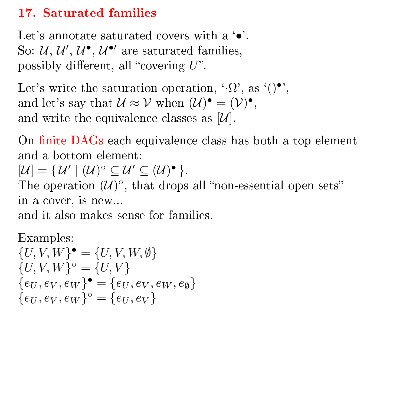### <span id="page-16-0"></span>[17. Saturated families](#page-1-14)

Let's annotate saturated covers with a ' $\bullet$ '. So:  $\mathcal{U}, \mathcal{U}', \mathcal{U}^{\bullet}, \mathcal{U}^{\bullet}$  are saturated families, possibly different, all "covering  $U$ ".

Let's write the saturation operation, ' $\Omega$ ', as '()•', and let's say that  $\mathcal{U} \approx \mathcal{V}$  when  $(\mathcal{U})^{\bullet} = (\mathcal{V})^{\bullet}$ , and write the equivalence classes as  $[\mathcal{U}]$ .

On finite DAGs each equivalence class has both a top element and a bottom element:

 $[\mathcal{U}] = {\mathcal{U}' \mid (\mathcal{U})^{\circ} \subseteq \mathcal{U}' \subseteq (\mathcal{U})^{\bullet}}.$ 

The operation  $(U)^\circ$ , that drops all "non-essential open sets" in a cover, is new...

and it also makes sense for families.

Examples:  ${U, V, W}^{\bullet} = {U, V, W, \emptyset}$  ${U, V, W}^{\circ} = {U, V}$  ${e_U, e_V, e_W}$ <sup> $\bullet$ </sup> =  ${e_U, e_V, e_W, e_\emptyset}$  ${e_U, e_V, e_W}^{\circ} = {e_U, e_V}$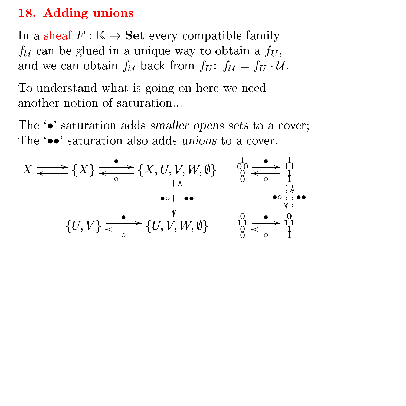#### <span id="page-17-0"></span>[18. Adding unions](#page-1-15)

In a sheaf  $F : \mathbb{K} \to \mathbf{Set}$  every compatible family  $f_{\mathcal{U}}$  can be glued in a unique way to obtain a  $f_{U}$ , and we can obtain  $f_{\mathcal{U}}$  back from  $f_{U}$ :  $f_{\mathcal{U}} = f_{U} \cdot \mathcal{U}$ .

To understand what is going on here we need another notion of saturation...

The  $\bullet$  saturation adds smaller opens sets to a cover; The **••** saturation also adds unions to a cover.

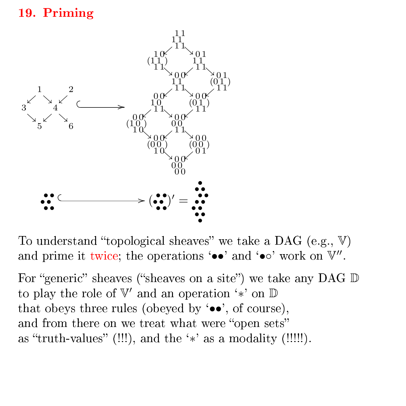### <span id="page-18-0"></span>[19. Priming](#page-1-16)



To understand "topological sheaves" we take a DAG (e.g.,  $V$ ) and prime it twice; the operations '••' and '•∘' work on  $\mathbb{V}''$ .

For "generic" sheaves ("sheaves on a site") we take any DAG  $\mathbb D$ to play the role of  $\mathbb{V}'$  and an operation '\*' on D that obeys three rules (obeyed by  $\bullet\bullet\bullet$ , of course), and from there on we treat what were "open sets" as "truth-values" (!!!), and the ' $\ast$ ' as a modality (!!!!!).